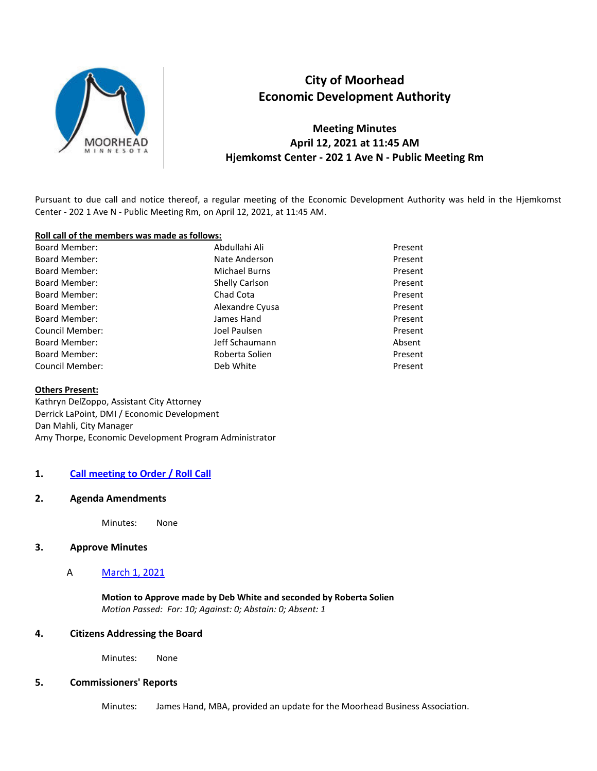

# **City of Moorhead Economic Development Authority**

**Meeting Minutes April 12, 2021 at 11:45 AM Hjemkomst Center - 202 1 Ave N - Public Meeting Rm** 

Pursuant to due call and notice thereof, a regular meeting of the Economic Development Authority was held in the Hjemkomst Center - 202 1 Ave N - Public Meeting Rm, on April 12, 2021, at 11:45 AM.

#### **Roll call of the members was made as follows:**

| <b>Board Member:</b>   | Abdullahi Ali   | Present |
|------------------------|-----------------|---------|
| <b>Board Member:</b>   | Nate Anderson   | Present |
| <b>Board Member:</b>   | Michael Burns   | Present |
| <b>Board Member:</b>   | Shelly Carlson  | Present |
| <b>Board Member:</b>   | Chad Cota       | Present |
| <b>Board Member:</b>   | Alexandre Cyusa | Present |
| <b>Board Member:</b>   | James Hand      | Present |
| <b>Council Member:</b> | Joel Paulsen    | Present |
| <b>Board Member:</b>   | Jeff Schaumann  | Absent  |
| <b>Board Member:</b>   | Roberta Solien  | Present |
| <b>Council Member:</b> | Deb White       | Present |

#### **Others Present:**

Kathryn DelZoppo, Assistant City Attorney Derrick LaPoint, DMI / Economic Development Dan Mahli, City Manager Amy Thorpe, Economic Development Program Administrator

#### **1. Call meeting to Order / Roll Call**

#### **2. Agenda Amendments**

Minutes: None

### **3. Approve Minutes**

#### A March 1, 2021

**Motion to Approve made by Deb White and seconded by Roberta Solien**  *Motion Passed: For: 10; Against: 0; Abstain: 0; Absent: 1* 

### **4. Citizens Addressing the Board**

Minutes: None

### **5. Commissioners' Reports**

Minutes: James Hand, MBA, provided an update for the Moorhead Business Association.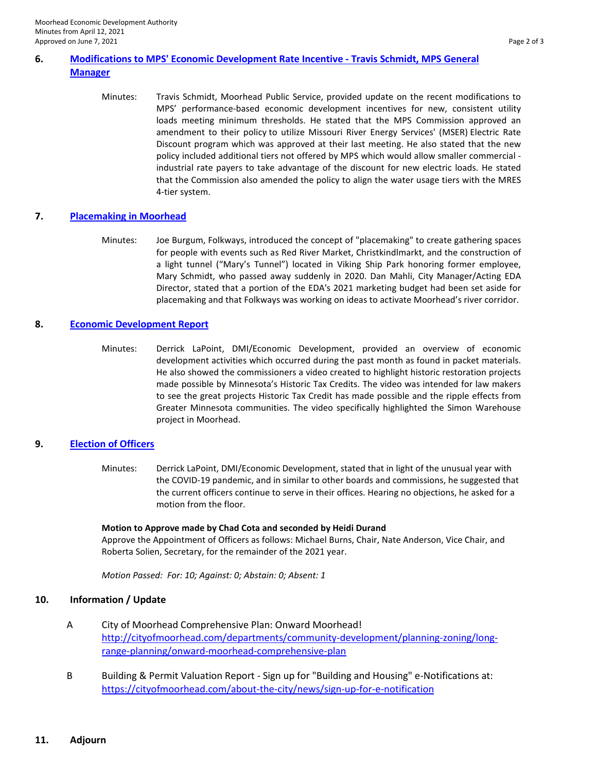# **6. Modifications to MPS' Economic Development Rate Incentive - Travis Schmidt, MPS General Manager**

Minutes: Travis Schmidt, Moorhead Public Service, provided update on the recent modifications to MPS' performance-based economic development incentives for new, consistent utility loads meeting minimum thresholds. He stated that the MPS Commission approved an amendment to their policy to utilize Missouri River Energy Services' (MSER) Electric Rate Discount program which was approved at their last meeting. He also stated that the new policy included additional tiers not offered by MPS which would allow smaller commercial industrial rate payers to take advantage of the discount for new electric loads. He stated that the Commission also amended the policy to align the water usage tiers with the MRES 4-tier system.

# **7. Placemaking in Moorhead**

Minutes: Joe Burgum, Folkways, introduced the concept of "placemaking" to create gathering spaces for people with events such as Red River Market, Christkindlmarkt, and the construction of a light tunnel ("Mary's Tunnel") located in Viking Ship Park honoring former employee, Mary Schmidt, who passed away suddenly in 2020. Dan Mahli, City Manager/Acting EDA Director, stated that a portion of the EDA's 2021 marketing budget had been set aside for placemaking and that Folkways was working on ideas to activate Moorhead's river corridor.

# **8. Economic Development Report**

Minutes: Derrick LaPoint, DMI/Economic Development, provided an overview of economic development activities which occurred during the past month as found in packet materials. He also showed the commissioners a video created to highlight historic restoration projects made possible by Minnesota's Historic Tax Credits. The video was intended for law makers to see the great projects Historic Tax Credit has made possible and the ripple effects from Greater Minnesota communities. The video specifically highlighted the Simon Warehouse project in Moorhead.

# **9. Election of Officers**

Minutes: Derrick LaPoint, DMI/Economic Development, stated that in light of the unusual year with the COVID-19 pandemic, and in similar to other boards and commissions, he suggested that the current officers continue to serve in their offices. Hearing no objections, he asked for a motion from the floor.

# **Motion to Approve made by Chad Cota and seconded by Heidi Durand**

Approve the Appointment of Officers as follows: Michael Burns, Chair, Nate Anderson, Vice Chair, and Roberta Solien, Secretary, for the remainder of the 2021 year.

*Motion Passed: For: 10; Against: 0; Abstain: 0; Absent: 1* 

# **10. Information / Update**

- A City of Moorhead Comprehensive Plan: Onward Moorhead! [http://cityofmoorhead.com/departments/community-development/planning-zoning/long](http://cityofmoorhead.com/departments/community-development/planning-zoning/long-range-planning/onward-moorhead-comprehensive-plan)[range-planning/onward-moorhead-comprehensive-plan](http://cityofmoorhead.com/departments/community-development/planning-zoning/long-range-planning/onward-moorhead-comprehensive-plan)
- B Building & Permit Valuation Report Sign up for "Building and Housing" e-Notifications at: <https://cityofmoorhead.com/about-the-city/news/sign-up-for-e-notification>